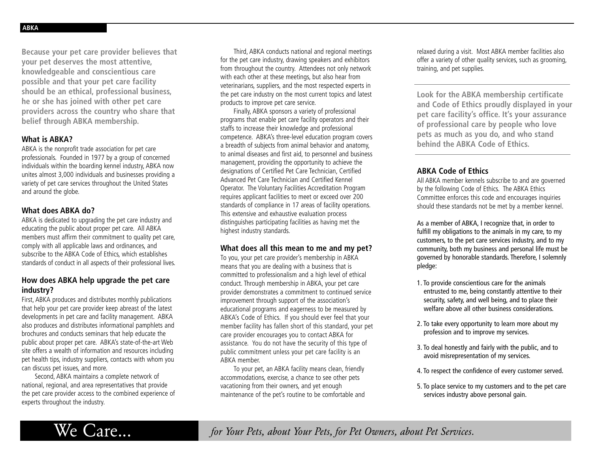**Because your pet care provider believes that your pet deserves the most attentive, knowledgeable and conscientious care possible and that your pet care facility should be an ethical, professional business, he or she has joined with other pet care providers across the country who share that belief through ABKA membership.**

### **What is ABKA?**

ABKA is the nonprofit trade association for pet care professionals. Founded in 1977 by a group of concerned individuals within the boarding kennel industry, ABKA now unites almost 3,000 individuals and businesses providing a variety of pet care services throughout the United States and around the globe.

## **What does ABKA do?**

ABKA is dedicated to upgrading the pet care industry and educating the public about proper pet care. All ABKA members must affirm their commitment to quality pet care, comply with all applicable laws and ordinances, and subscribe to the ABKA Code of Ethics, which establishes standards of conduct in all aspects of their professional lives.

# **How does ABKA help upgrade the pet care industry?**

First, ABKA produces and distributes monthly publications that help your pet care provider keep abreast of the latest developments in pet care and facility management. ABKA also produces and distributes informational pamphlets and brochures and conducts seminars that help educate the public about proper pet care. ABKA's state-of-the-art Web site offers a wealth of information and resources including pet health tips, industry suppliers, contacts with whom you can discuss pet issues, and more.

Second, ABKA maintains a complete network of national, regional, and area representatives that provide the pet care provider access to the combined experience of experts throughout the industry.

Third, ABKA conducts national and regional meetings for the pet care industry, drawing speakers and exhibitors from throughout the country. Attendees not only network with each other at these meetings, but also hear from veterinarians, suppliers, and the most respected experts in the pet care industry on the most current topics and latest products to improve pet care service.

Finally, ABKA sponsors a variety of professional programs that enable pet care facility operators and their staffs to increase their knowledge and professional competence. ABKA's three-level education program covers a breadth of subjects from animal behavior and anatomy, to animal diseases and first aid, to personnel and business management, providing the opportunity to achieve the designations of Certified Pet Care Technician, Certified Advanced Pet Care Technician and Certified Kennel Operator. The Voluntary Facilities Accreditation Program requires applicant facilities to meet or exceed over 200 standards of compliance in 17 areas of facility operations. This extensive and exhaustive evaluation process distinguishes participating facilities as having met the highest industry standards.

### **What does all this mean to me and my pet?**

To you, your pet care provider's membership in ABKA means that you are dealing with a business that is committed to professionalism and a high level of ethical conduct. Through membership in ABKA, your pet care provider demonstrates a commitment to continued service improvement through support of the association's educational programs and eagerness to be measured by ABKA's Code of Ethics. If you should ever feel that your member facility has fallen short of this standard, your pet care provider encourages you to contact ABKA for assistance. You do not have the security of this type of public commitment unless your pet care facility is an ABKA member.

To your pet, an ABKA facility means clean, friendly accommodations, exercise, a chance to see other pets vacationing from their owners, and yet enough maintenance of the pet's routine to be comfortable and

relaxed during a visit. Most ABKA member facilities also offer a variety of other quality services, such as grooming, training, and pet supplies.

**Look for the ABKA membership certificate and Code of Ethics proudly displayed in your pet care facility's office. It's your assurance of professional care by people who love pets as much as you do, and who stand behind the ABKA Code of Ethics.**

# **ABKA Code of Ethics**

All ABKA member kennels subscribe to and are governed by the following Code of Ethics. The ABKA Ethics Committee enforces this code and encourages inquiries should these standards not be met by a member kennel.

As a member of ABKA, I recognize that, in order to fulfill my obligations to the animals in my care, to my customers, to the pet care services industry, and to my community, both my business and personal life must be governed by honorable standards. Therefore, I solemnly pledge:

- 1. To provide conscientious care for the animals entrusted to me, being constantly attentive to their security, safety, and well being, and to place their welfare above all other business considerations.
- 2. To take every opportunity to learn more about my profession and to improve my services.
- 3. To deal honestly and fairly with the public, and to avoid misrepresentation of my services.
- 4. To respect the confidence of every customer served.
- 5. To place service to my customers and to the pet care services industry above personal gain.

We Care... *for Your Pets, about Your Pets, for Pet Owners, about Pet Services.*